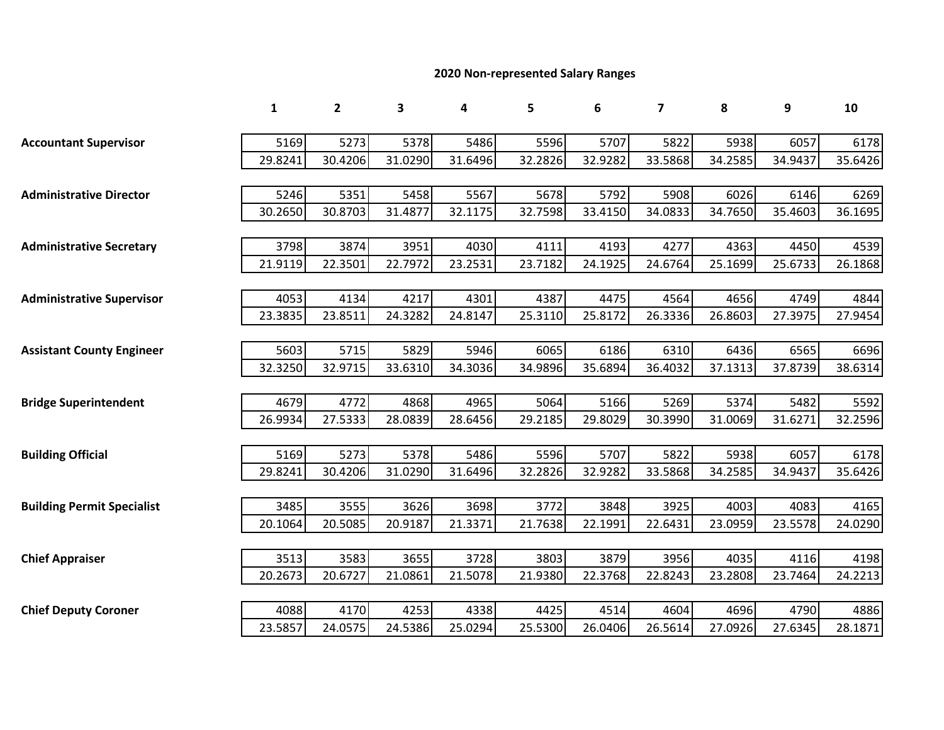## **2020 Non-represented Salary Ranges**

|                                   | 1       | $\overline{2}$ | 3       | 4       | 5       | 6       | $\overline{\mathbf{z}}$ | 8       | 9       | 10      |
|-----------------------------------|---------|----------------|---------|---------|---------|---------|-------------------------|---------|---------|---------|
| <b>Accountant Supervisor</b>      | 5169    | 5273           | 5378    | 5486    | 5596    | 5707    | 5822                    | 5938    | 6057    | 6178    |
|                                   | 29.8241 | 30.4206        | 31.0290 | 31.6496 | 32.2826 | 32.9282 | 33.5868                 | 34.2585 | 34.9437 |         |
|                                   |         |                |         |         |         |         |                         |         |         | 35.6426 |
| <b>Administrative Director</b>    | 5246    | 5351           | 5458    | 5567    | 5678    | 5792    | 5908                    | 6026    | 6146    | 6269    |
|                                   | 30.2650 | 30.8703        | 31.4877 | 32.1175 | 32.7598 | 33.4150 | 34.0833                 | 34.7650 | 35.4603 | 36.1695 |
|                                   |         |                |         |         |         |         |                         |         |         |         |
| <b>Administrative Secretary</b>   | 3798    | 3874           | 3951    | 4030    | 4111    | 4193    | 4277                    | 4363    | 4450    | 4539    |
|                                   | 21.9119 | 22.3501        | 22.7972 | 23.2531 | 23.7182 | 24.1925 | 24.6764                 | 25.1699 | 25.6733 | 26.1868 |
|                                   |         |                |         |         |         |         |                         |         |         |         |
| <b>Administrative Supervisor</b>  | 4053    | 4134           | 4217    | 4301    | 4387    | 4475    | 4564                    | 4656    | 4749    | 4844    |
|                                   | 23.3835 | 23.8511        | 24.3282 | 24.8147 | 25.3110 | 25.8172 | 26.3336                 | 26.8603 | 27.3975 | 27.9454 |
|                                   |         |                |         |         |         |         |                         |         |         |         |
| <b>Assistant County Engineer</b>  | 5603    | 5715           | 5829    | 5946    | 6065    | 6186    | 6310                    | 6436    | 6565    | 6696    |
|                                   | 32.3250 | 32.9715        | 33.6310 | 34.3036 | 34.9896 | 35.6894 | 36.4032                 | 37.1313 | 37.8739 | 38.6314 |
|                                   |         |                |         |         |         |         |                         |         |         |         |
| <b>Bridge Superintendent</b>      | 4679    | 4772           | 4868    | 4965    | 5064    | 5166    | 5269                    | 5374    | 5482    | 5592    |
|                                   | 26.9934 | 27.5333        | 28.0839 | 28.6456 | 29.2185 | 29.8029 | 30.3990                 | 31.0069 | 31.6271 | 32.2596 |
|                                   |         |                |         |         |         |         |                         |         |         |         |
| <b>Building Official</b>          | 5169    | 5273           | 5378    | 5486    | 5596    | 5707    | 5822                    | 5938    | 6057    | 6178    |
|                                   | 29.8241 | 30.4206        | 31.0290 | 31.6496 | 32.2826 | 32.9282 | 33.5868                 | 34.2585 | 34.9437 | 35.6426 |
|                                   |         |                |         |         |         |         |                         |         |         |         |
| <b>Building Permit Specialist</b> | 3485    | 3555           | 3626    | 3698    | 3772    | 3848    | 3925                    | 4003    | 4083    | 4165    |
|                                   | 20.1064 | 20.5085        | 20.9187 | 21.3371 | 21.7638 | 22.1991 | 22.6431                 | 23.0959 | 23.5578 | 24.0290 |
|                                   |         |                |         |         |         |         |                         |         |         |         |
| <b>Chief Appraiser</b>            | 3513    | 3583           | 3655    | 3728    | 3803    | 3879    | 3956                    | 4035    | 4116    | 4198    |
|                                   | 20.2673 | 20.6727        | 21.0861 | 21.5078 | 21.9380 | 22.3768 | 22.8243                 | 23.2808 | 23.7464 | 24.2213 |
|                                   |         |                |         |         |         |         |                         |         |         |         |
| <b>Chief Deputy Coroner</b>       | 4088    | 4170           | 4253    | 4338    | 4425    | 4514    | 4604                    | 4696    | 4790    | 4886    |
|                                   | 23.5857 | 24.0575        | 24.5386 | 25.0294 | 25.5300 | 26.0406 | 26.5614                 | 27.0926 | 27.6345 | 28.1871 |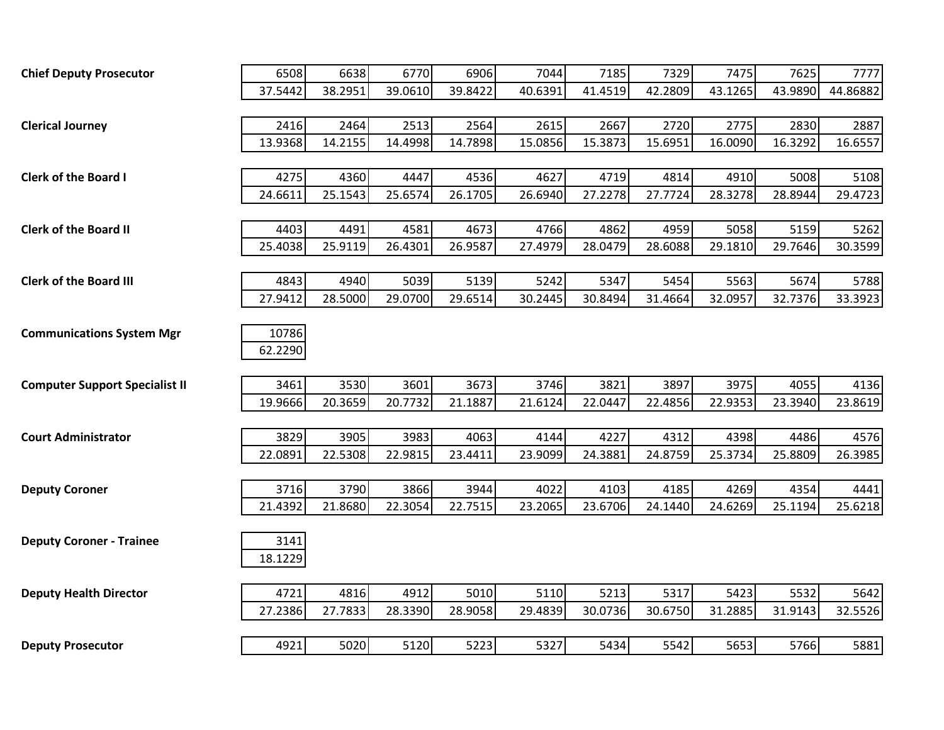| <b>Chief Deputy Prosecutor</b>        | 6508    | 6638    | 6770    | 6906    | 7044    | 7185    | 7329    | 7475    | 7625    | 7777     |
|---------------------------------------|---------|---------|---------|---------|---------|---------|---------|---------|---------|----------|
|                                       | 37.5442 | 38.2951 | 39.0610 | 39.8422 | 40.6391 | 41.4519 | 42.2809 | 43.1265 | 43.9890 | 44.86882 |
|                                       |         |         |         |         |         |         |         |         |         |          |
| <b>Clerical Journey</b>               | 2416    | 2464    | 2513    | 2564    | 2615    | 2667    | 2720    | 2775    | 2830    | 2887     |
|                                       | 13.9368 | 14.2155 | 14.4998 | 14.7898 | 15.0856 | 15.3873 | 15.6951 | 16.0090 | 16.3292 | 16.6557  |
|                                       |         |         |         |         |         |         |         |         |         |          |
| <b>Clerk of the Board I</b>           | 4275    | 4360    | 4447    | 4536    | 4627    | 4719    | 4814    | 4910    | 5008    | 5108     |
|                                       | 24.6611 | 25.1543 | 25.6574 | 26.1705 | 26.6940 | 27.2278 | 27.7724 | 28.3278 | 28.8944 | 29.4723  |
|                                       |         |         |         |         |         |         |         |         |         |          |
| <b>Clerk of the Board II</b>          | 4403    | 4491    | 4581    | 4673    | 4766    | 4862    | 4959    | 5058    | 5159    | 5262     |
|                                       | 25.4038 | 25.9119 | 26.4301 | 26.9587 | 27.4979 | 28.0479 | 28.6088 | 29.1810 | 29.7646 | 30.3599  |
|                                       |         |         |         |         |         |         |         |         |         |          |
| <b>Clerk of the Board III</b>         | 4843    | 4940    | 5039    | 5139    | 5242    | 5347    | 5454    | 5563    | 5674    | 5788     |
|                                       | 27.9412 | 28.5000 | 29.0700 | 29.6514 | 30.2445 | 30.8494 | 31.4664 | 32.0957 | 32.7376 | 33.3923  |
|                                       |         |         |         |         |         |         |         |         |         |          |
| <b>Communications System Mgr</b>      | 10786   |         |         |         |         |         |         |         |         |          |
|                                       | 62.2290 |         |         |         |         |         |         |         |         |          |
|                                       |         |         |         |         |         |         |         |         |         |          |
| <b>Computer Support Specialist II</b> | 3461    | 3530    | 3601    | 3673    | 3746    | 3821    | 3897    | 3975    | 4055    | 4136     |
|                                       | 19.9666 | 20.3659 | 20.7732 | 21.1887 | 21.6124 | 22.0447 | 22.4856 | 22.9353 | 23.3940 | 23.8619  |
|                                       |         |         |         |         |         |         |         |         |         |          |
| <b>Court Administrator</b>            | 3829    | 3905    | 3983    | 4063    | 4144    | 4227    | 4312    | 4398    | 4486    | 4576     |
|                                       | 22.0891 | 22.5308 | 22.9815 | 23.4411 | 23.9099 | 24.3881 | 24.8759 | 25.3734 | 25.8809 | 26.3985  |
|                                       |         |         |         |         |         |         |         |         |         |          |
| <b>Deputy Coroner</b>                 | 3716    | 3790    | 3866    | 3944    | 4022    | 4103    | 4185    | 4269    | 4354    | 4441     |
|                                       | 21.4392 | 21.8680 | 22.3054 | 22.7515 | 23.2065 | 23.6706 | 24.1440 | 24.6269 | 25.1194 | 25.6218  |
|                                       |         |         |         |         |         |         |         |         |         |          |
| <b>Deputy Coroner - Trainee</b>       | 3141    |         |         |         |         |         |         |         |         |          |
|                                       | 18.1229 |         |         |         |         |         |         |         |         |          |
|                                       | 4721    | 4816    | 4912    | 5010    | 5110    | 5213    | 5317    | 5423    | 5532    | 5642     |
| <b>Deputy Health Director</b>         |         |         |         |         |         |         |         |         |         |          |
|                                       | 27.2386 | 27.7833 | 28.3390 | 28.9058 | 29.4839 | 30.0736 | 30.6750 | 31.2885 | 31.9143 | 32.5526  |
|                                       |         |         |         |         |         |         |         |         |         |          |
| <b>Deputy Prosecutor</b>              | 4921    | 5020    | 5120    | 5223    | 5327    | 5434    | 5542    | 5653    | 5766    | 5881     |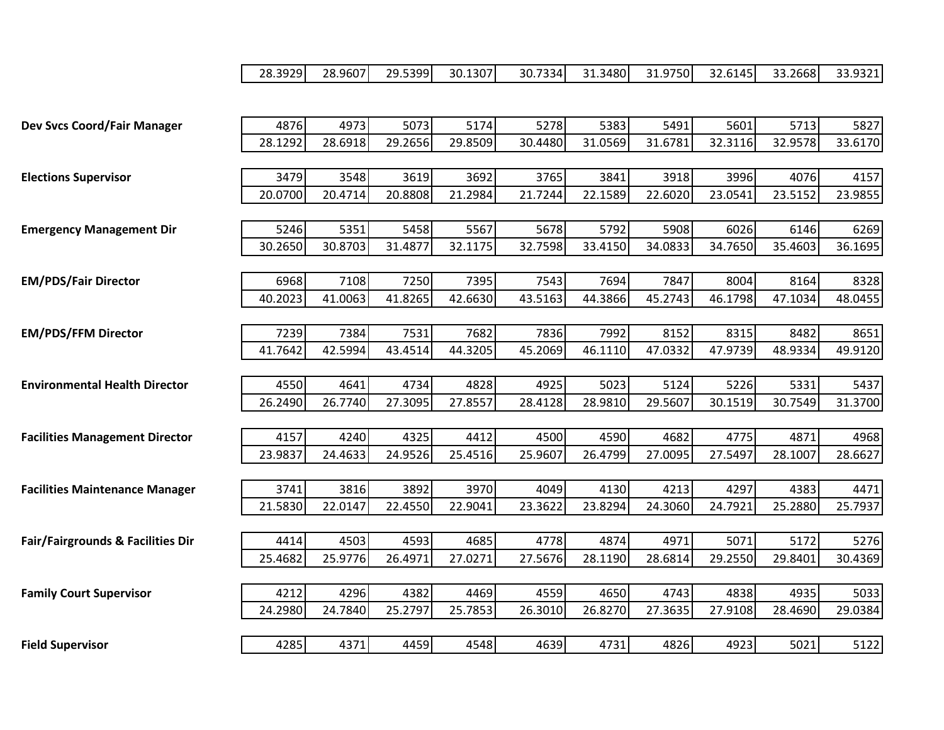|                                       | 28.3929         | 28.9607         | 29.5399         | 30.1307         | 30.7334         | 31.3480         | 31.9750         | 32.6145         | 33.2668         | 33.9321         |
|---------------------------------------|-----------------|-----------------|-----------------|-----------------|-----------------|-----------------|-----------------|-----------------|-----------------|-----------------|
|                                       |                 |                 |                 |                 |                 |                 |                 |                 |                 |                 |
|                                       |                 |                 |                 |                 |                 |                 |                 |                 |                 |                 |
| Dev Svcs Coord/Fair Manager           | 4876<br>28.1292 | 4973<br>28.6918 | 5073<br>29.2656 | 5174<br>29.8509 | 5278<br>30.4480 | 5383<br>31.0569 | 5491<br>31.6781 | 5601<br>32.3116 | 5713<br>32.9578 | 5827<br>33.6170 |
|                                       |                 |                 |                 |                 |                 |                 |                 |                 |                 |                 |
| <b>Elections Supervisor</b>           | 3479            | 3548            | 3619            | 3692            | 3765            | 3841            | 3918            | 3996            | 4076            | 4157            |
|                                       | 20.0700         | 20.4714         | 20.8808         | 21.2984         | 21.7244         | 22.1589         | 22.6020         | 23.0541         | 23.5152         | 23.9855         |
|                                       |                 |                 |                 |                 |                 |                 |                 |                 |                 |                 |
| <b>Emergency Management Dir</b>       | 5246            | 5351            | 5458            | 5567            | 5678            | 5792            | 5908            | 6026            | 6146            | 6269            |
|                                       | 30.2650         | 30.8703         | 31.4877         | 32.1175         | 32.7598         | 33.4150         | 34.0833         | 34.7650         | 35.4603         | 36.1695         |
|                                       |                 |                 |                 |                 |                 |                 |                 |                 |                 |                 |
| <b>EM/PDS/Fair Director</b>           | 6968            | 7108            | 7250            | 7395            | 7543            | 7694            | 7847            | 8004            | 8164            | 8328            |
|                                       | 40.2023         | 41.0063         | 41.8265         | 42.6630         | 43.5163         | 44.3866         | 45.2743         | 46.1798         | 47.1034         | 48.0455         |
| <b>EM/PDS/FFM Director</b>            | 7239            | 7384            | 7531            | 7682            | 7836            | 7992            | 8152            | 8315            | 8482            | 8651            |
|                                       | 41.7642         | 42.5994         | 43.4514         | 44.3205         | 45.2069         | 46.1110         | 47.0332         | 47.9739         | 48.9334         | 49.9120         |
|                                       |                 |                 |                 |                 |                 |                 |                 |                 |                 |                 |
| <b>Environmental Health Director</b>  | 4550            | 4641            | 4734            | 4828            | 4925            | 5023            | 5124            | 5226            | 5331            | 5437            |
|                                       | 26.2490         | 26.7740         | 27.3095         | 27.8557         | 28.4128         | 28.9810         | 29.5607         | 30.1519         | 30.7549         | 31.3700         |
|                                       |                 |                 |                 |                 |                 |                 |                 |                 |                 |                 |
| <b>Facilities Management Director</b> | 4157            | 4240            | 4325            | 4412            | 4500            | 4590            | 4682            | 4775            | 4871            | 4968            |
|                                       | 23.9837         | 24.4633         | 24.9526         | 25.4516         | 25.9607         | 26.4799         | 27.0095         | 27.5497         | 28.1007         | 28.6627         |
|                                       |                 |                 |                 |                 |                 |                 |                 |                 |                 |                 |
| <b>Facilities Maintenance Manager</b> | 3741            | 3816            | 3892            | 3970            | 4049            | 4130            | 4213            | 4297            | 4383            | 4471            |
|                                       | 21.5830         | 22.0147         | 22.4550         | 22.9041         | 23.3622         | 23.8294         | 24.3060         | 24.7921         | 25.2880         | 25.7937         |
| Fair/Fairgrounds & Facilities Dir     | 4414            | 4503            | 4593            | 4685            | 4778            | 4874            | 4971            | 5071            | 5172            | 5276            |
|                                       | 25.4682         | 25.9776         | 26.4971         | 27.0271         | 27.5676         | 28.1190         | 28.6814         | 29.2550         | 29.8401         | 30.4369         |
|                                       |                 |                 |                 |                 |                 |                 |                 |                 |                 |                 |
| <b>Family Court Supervisor</b>        | 4212            | 4296            | 4382            | 4469            | 4559            | 4650            | 4743            | 4838            | 4935            | 5033            |
|                                       | 24.2980         | 24.7840         | 25.2797         | 25.7853         | 26.3010         | 26.8270         | 27.3635         | 27.9108         | 28.4690         | 29.0384         |
|                                       |                 |                 |                 |                 |                 |                 |                 |                 |                 |                 |
| <b>Field Supervisor</b>               | 4285            | 4371            | 4459            | 4548            | 4639            | 4731            | 4826            | 4923            | 5021            | 5122            |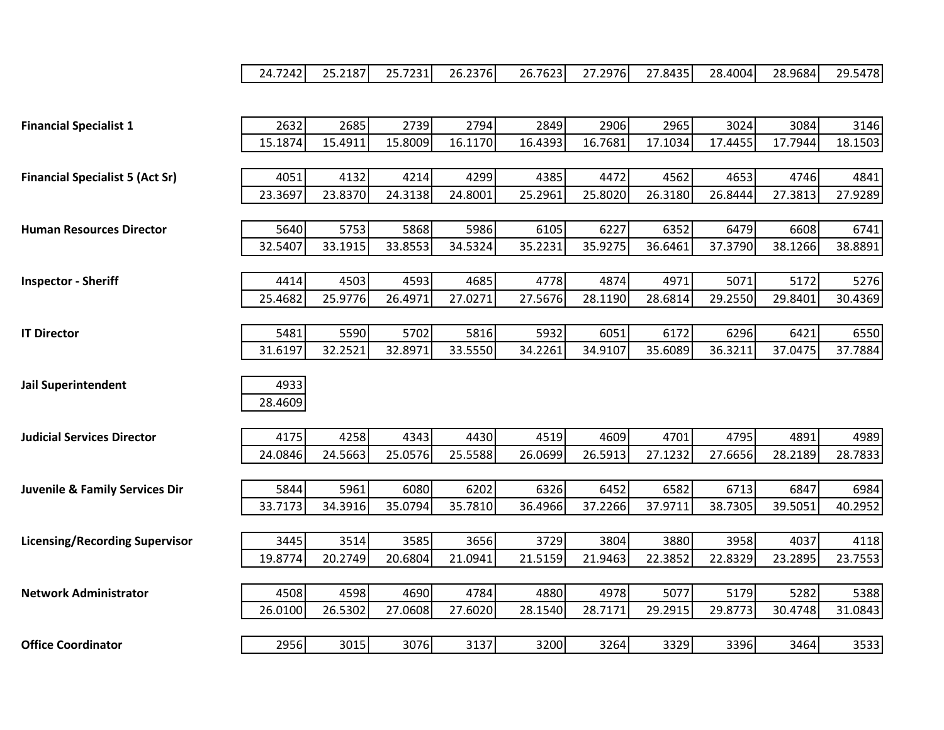|  |  |  |  | 24.7242  25.2187  25.7231  26.2376  26.7623  27.2976  27.8435  28.4004  28.9684  29.5478 |  |  |  |  |  |
|--|--|--|--|------------------------------------------------------------------------------------------|--|--|--|--|--|
|--|--|--|--|------------------------------------------------------------------------------------------|--|--|--|--|--|

| <b>Financial Specialist 1</b>             | 2632    | 2685    | 2739    | 2794    | 2849    | 2906    | 2965    | 3024    | 3084    | 3146    |
|-------------------------------------------|---------|---------|---------|---------|---------|---------|---------|---------|---------|---------|
|                                           | 15.1874 | 15.4911 | 15.8009 | 16.1170 | 16.4393 | 16.7681 | 17.1034 | 17.4455 | 17.7944 | 18.1503 |
|                                           |         |         |         |         |         |         |         |         |         |         |
| <b>Financial Specialist 5 (Act Sr)</b>    | 4051    | 4132    | 4214    | 4299    | 4385    | 4472    | 4562    | 4653    | 4746    | 4841    |
|                                           | 23.3697 | 23.8370 | 24.3138 | 24.8001 | 25.2961 | 25.8020 | 26.3180 | 26.8444 | 27.3813 | 27.9289 |
|                                           |         |         |         |         |         |         |         |         |         |         |
| <b>Human Resources Director</b>           | 5640    | 5753    | 5868    | 5986    | 6105    | 6227    | 6352    | 6479    | 6608    | 6741    |
|                                           | 32.5407 | 33.1915 | 33.8553 | 34.5324 | 35.2231 | 35.9275 | 36.6461 | 37.3790 | 38.1266 | 38.8891 |
|                                           |         |         |         |         |         |         |         |         |         |         |
| <b>Inspector - Sheriff</b>                | 4414    | 4503    | 4593    | 4685    | 4778    | 4874    | 4971    | 5071    | 5172    | 5276    |
|                                           | 25.4682 | 25.9776 | 26.4971 | 27.0271 | 27.5676 | 28.1190 | 28.6814 | 29.2550 | 29.8401 | 30.4369 |
|                                           |         |         |         |         |         |         |         |         |         |         |
| <b>IT Director</b>                        | 5481    | 5590    | 5702    | 5816    | 5932    | 6051    | 6172    | 6296    | 6421    | 6550    |
|                                           | 31.6197 | 32.2521 | 32.8971 | 33.5550 | 34.2261 | 34.9107 | 35.6089 | 36.3211 | 37.0475 | 37.7884 |
|                                           |         |         |         |         |         |         |         |         |         |         |
| <b>Jail Superintendent</b>                | 4933    |         |         |         |         |         |         |         |         |         |
|                                           | 28.4609 |         |         |         |         |         |         |         |         |         |
|                                           |         |         |         |         |         |         |         |         |         |         |
| <b>Judicial Services Director</b>         | 4175    | 4258    | 4343    | 4430    | 4519    | 4609    | 4701    | 4795    | 4891    | 4989    |
|                                           | 24.0846 | 24.5663 | 25.0576 | 25.5588 | 26.0699 | 26.5913 | 27.1232 | 27.6656 | 28.2189 | 28.7833 |
|                                           |         |         |         |         |         |         |         |         |         |         |
| <b>Juvenile &amp; Family Services Dir</b> | 5844    | 5961    | 6080    | 6202    | 6326    | 6452    | 6582    | 6713    | 6847    | 6984    |
|                                           | 33.7173 | 34.3916 | 35.0794 | 35.7810 | 36.4966 | 37.2266 | 37.9711 | 38.7305 | 39.5051 | 40.2952 |
|                                           |         |         |         |         |         |         |         |         |         |         |
| <b>Licensing/Recording Supervisor</b>     | 3445    | 3514    | 3585    | 3656    | 3729    | 3804    | 3880    | 3958    | 4037    | 4118    |
|                                           | 19.8774 | 20.2749 | 20.6804 | 21.0941 | 21.5159 | 21.9463 | 22.3852 | 22.8329 | 23.2895 | 23.7553 |
|                                           |         |         |         |         |         |         |         |         |         |         |
| <b>Network Administrator</b>              | 4508    | 4598    | 4690    | 4784    | 4880    | 4978    | 5077    | 5179    | 5282    | 5388    |
|                                           | 26.0100 | 26.5302 | 27.0608 | 27.6020 | 28.1540 | 28.7171 | 29.2915 | 29.8773 | 30.4748 | 31.0843 |
|                                           |         |         |         |         |         |         |         |         |         |         |
| <b>Office Coordinator</b>                 | 2956    | 3015    | 3076    | 3137    | 3200    | 3264    | 3329    | 3396    | 3464    | 3533    |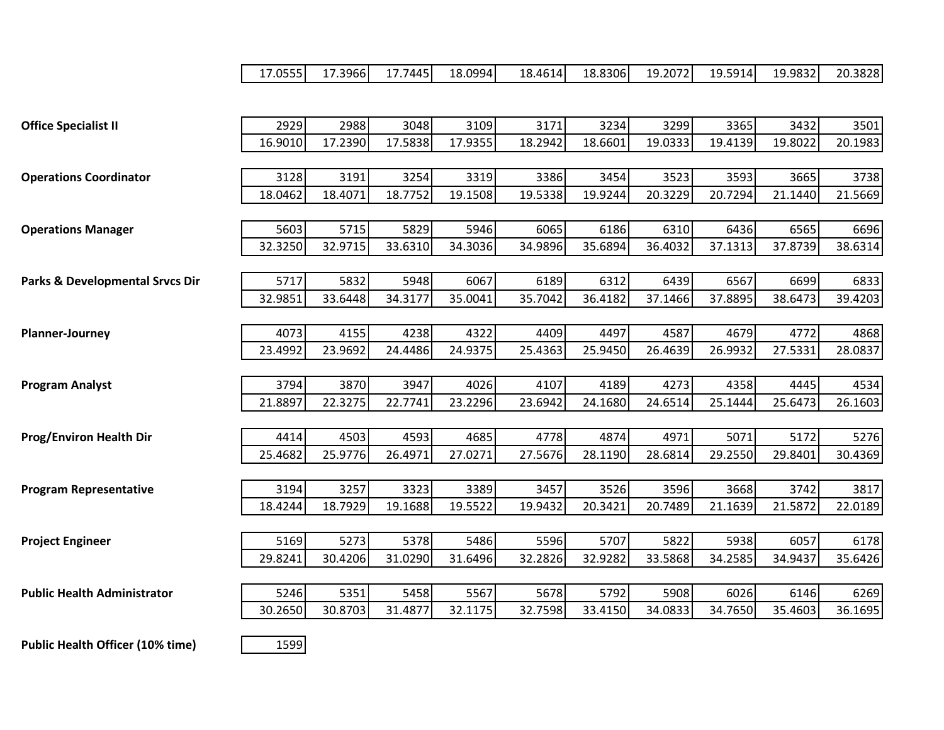|                                            | 17.0555 | 17.3966 | 17.7445 | 18.0994 | 18.4614 | 18.8306 | 19.2072 | 19.5914 | 19.9832 | 20.3828 |
|--------------------------------------------|---------|---------|---------|---------|---------|---------|---------|---------|---------|---------|
|                                            |         |         |         |         |         |         |         |         |         |         |
| <b>Office Specialist II</b>                | 2929    | 2988    | 3048    | 3109    | 3171    | 3234    | 3299    | 3365    | 3432    | 3501    |
|                                            | 16.9010 | 17.2390 | 17.5838 | 17.9355 | 18.2942 | 18.6601 | 19.0333 | 19.4139 | 19.8022 | 20.1983 |
|                                            |         |         |         |         |         |         |         |         |         |         |
| <b>Operations Coordinator</b>              | 3128    | 3191    | 3254    | 3319    | 3386    | 3454    | 3523    | 3593    | 3665    | 3738    |
|                                            | 18.0462 | 18.4071 | 18.7752 | 19.1508 | 19.5338 | 19.9244 | 20.3229 | 20.7294 | 21.1440 | 21.5669 |
|                                            |         |         |         |         |         |         |         |         |         |         |
| <b>Operations Manager</b>                  | 5603    | 5715    | 5829    | 5946    | 6065    | 6186    | 6310    | 6436    | 6565    | 6696    |
|                                            | 32.3250 | 32.9715 | 33.6310 | 34.3036 | 34.9896 | 35.6894 | 36.4032 | 37.1313 | 37.8739 | 38.6314 |
|                                            |         |         |         |         |         |         |         |         |         |         |
| <b>Parks &amp; Developmental Srvcs Dir</b> | 5717    | 5832    | 5948    | 6067    | 6189    | 6312    | 6439    | 6567    | 6699    | 6833    |
|                                            | 32.9851 | 33.6448 | 34.3177 | 35.0041 | 35.7042 | 36.4182 | 37.1466 | 37.8895 | 38.6473 | 39.4203 |
|                                            |         |         |         |         |         |         |         |         |         |         |
| <b>Planner-Journey</b>                     | 4073    | 4155    | 4238    | 4322    | 4409    | 4497    | 4587    | 4679    | 4772    | 4868    |
|                                            | 23.4992 | 23.9692 | 24.4486 | 24.9375 | 25.4363 | 25.9450 | 26.4639 | 26.9932 | 27.5331 | 28.0837 |
|                                            |         |         |         |         |         |         |         |         |         |         |
| <b>Program Analyst</b>                     | 3794    | 3870    | 3947    | 4026    | 4107    | 4189    | 4273    | 4358    | 4445    | 4534    |
|                                            | 21.8897 | 22.3275 | 22.7741 | 23.2296 | 23.6942 | 24.1680 | 24.6514 | 25.1444 | 25.6473 | 26.1603 |
|                                            |         |         |         |         |         |         |         |         |         |         |
| <b>Prog/Environ Health Dir</b>             | 4414    | 4503    | 4593    | 4685    | 4778    | 4874    | 4971    | 5071    | 5172    | 5276    |
|                                            | 25.4682 | 25.9776 | 26.4971 | 27.0271 | 27.5676 | 28.1190 | 28.6814 | 29.2550 | 29.8401 | 30.4369 |
|                                            |         |         |         |         |         |         |         |         |         |         |
| <b>Program Representative</b>              | 3194    | 3257    | 3323    | 3389    | 3457    | 3526    | 3596    | 3668    | 3742    | 3817    |
|                                            | 18.4244 | 18.7929 | 19.1688 | 19.5522 | 19.9432 | 20.3421 | 20.7489 | 21.1639 | 21.5872 | 22.0189 |
|                                            |         |         |         |         |         |         |         |         |         |         |
| <b>Project Engineer</b>                    | 5169    | 5273    | 5378    | 5486    | 5596    | 5707    | 5822    | 5938    | 6057    | 6178    |
|                                            | 29.8241 | 30.4206 | 31.0290 | 31.6496 | 32.2826 | 32.9282 | 33.5868 | 34.2585 | 34.9437 | 35.6426 |
|                                            |         |         |         |         |         |         |         |         |         |         |
| <b>Public Health Administrator</b>         | 5246    | 5351    | 5458    | 5567    | 5678    | 5792    | 5908    | 6026    | 6146    | 6269    |
|                                            | 30.2650 | 30.8703 | 31.4877 | 32.1175 | 32.7598 | 33.4150 | 34.0833 | 34.7650 | 35.4603 | 36.1695 |
|                                            |         |         |         |         |         |         |         |         |         |         |
| <b>Public Health Officer (10% time)</b>    | 1599    |         |         |         |         |         |         |         |         |         |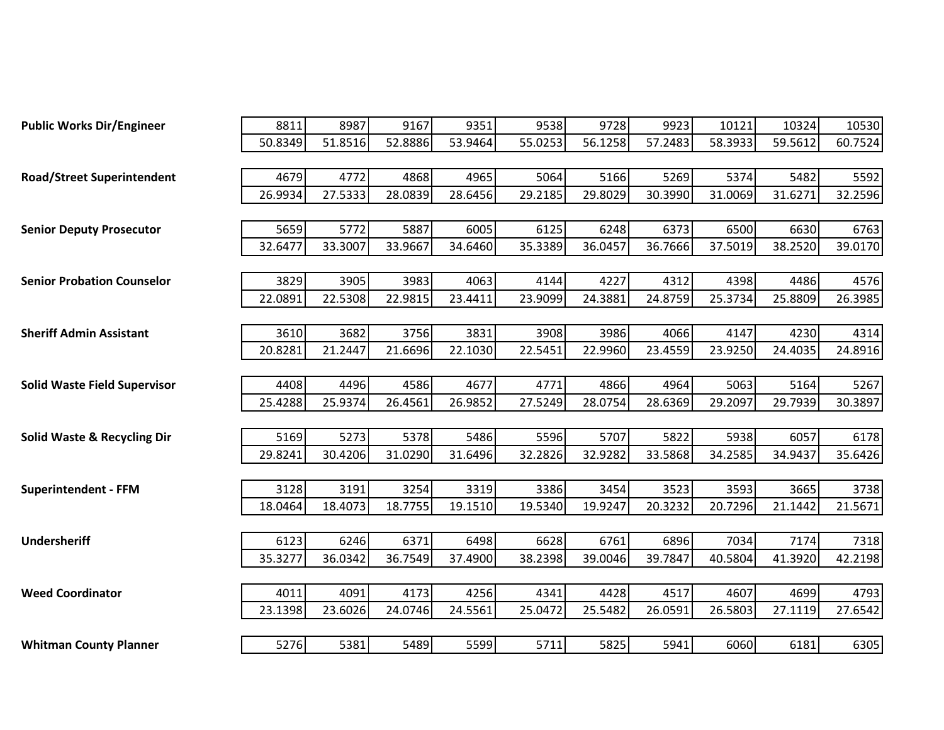| <b>Public Works Dir/Engineer</b>       | 8811    | 8987    | 9167    | 9351    | 9538    | 9728    | 9923    | 10121   | 10324   | 10530   |
|----------------------------------------|---------|---------|---------|---------|---------|---------|---------|---------|---------|---------|
|                                        | 50.8349 | 51.8516 | 52.8886 | 53.9464 | 55.0253 | 56.1258 | 57.2483 | 58.3933 | 59.5612 | 60.7524 |
|                                        |         |         |         |         |         |         |         |         |         |         |
| <b>Road/Street Superintendent</b>      | 4679    | 4772    | 4868    | 4965    | 5064    | 5166    | 5269    | 5374    | 5482    | 5592    |
|                                        | 26.9934 | 27.5333 | 28.0839 | 28.6456 | 29.2185 | 29.8029 | 30.3990 | 31.0069 | 31.6271 | 32.2596 |
|                                        |         |         |         |         |         |         |         |         |         |         |
| <b>Senior Deputy Prosecutor</b>        | 5659    | 5772    | 5887    | 6005    | 6125    | 6248    | 6373    | 6500    | 6630    | 6763    |
|                                        | 32.6477 | 33.3007 | 33.9667 | 34.6460 | 35.3389 | 36.0457 | 36.7666 | 37.5019 | 38.2520 | 39.0170 |
|                                        |         |         |         |         |         |         |         |         |         |         |
| <b>Senior Probation Counselor</b>      | 3829    | 3905    | 3983    | 4063    | 4144    | 4227    | 4312    | 4398    | 4486    | 4576    |
|                                        | 22.0891 | 22.5308 | 22.9815 | 23.4411 | 23.9099 | 24.3881 | 24.8759 | 25.3734 | 25.8809 | 26.3985 |
|                                        |         |         |         |         |         |         |         |         |         |         |
| <b>Sheriff Admin Assistant</b>         | 3610    | 3682    | 3756    | 3831    | 3908    | 3986    | 4066    | 4147    | 4230    | 4314    |
|                                        | 20.8281 | 21.2447 | 21.6696 | 22.1030 | 22.5451 | 22.9960 | 23.4559 | 23.9250 | 24.4035 | 24.8916 |
|                                        |         |         |         |         |         |         |         |         |         |         |
| <b>Solid Waste Field Supervisor</b>    | 4408    | 4496    | 4586    | 4677    | 4771    | 4866    | 4964    | 5063    | 5164    | 5267    |
|                                        | 25.4288 | 25.9374 | 26.4561 | 26.9852 | 27.5249 | 28.0754 | 28.6369 | 29.2097 | 29.7939 | 30.3897 |
|                                        |         |         |         |         |         |         |         |         |         |         |
| <b>Solid Waste &amp; Recycling Dir</b> | 5169    | 5273    | 5378    | 5486    | 5596    | 5707    | 5822    | 5938    | 6057    | 6178    |
|                                        | 29.8241 | 30.4206 | 31.0290 | 31.6496 | 32.2826 | 32.9282 | 33.5868 | 34.2585 | 34.9437 | 35.6426 |
|                                        |         |         |         |         |         |         |         |         |         |         |
| <b>Superintendent - FFM</b>            | 3128    | 3191    | 3254    | 3319    | 3386    | 3454    | 3523    | 3593    | 3665    | 3738    |
|                                        | 18.0464 | 18.4073 | 18.7755 | 19.1510 | 19.5340 | 19.9247 | 20.3232 | 20.7296 | 21.1442 | 21.5671 |
|                                        |         |         |         |         |         |         |         |         |         |         |
| <b>Undersheriff</b>                    | 6123    | 6246    | 6371    | 6498    | 6628    | 6761    | 6896    | 7034    | 7174    | 7318    |
|                                        | 35.3277 | 36.0342 | 36.7549 | 37.4900 | 38.2398 | 39.0046 | 39.7847 | 40.5804 | 41.3920 | 42.2198 |
|                                        |         |         |         |         |         |         |         |         |         |         |
| <b>Weed Coordinator</b>                | 4011    | 4091    | 4173    | 4256    | 4341    | 4428    | 4517    | 4607    | 4699    | 4793    |
|                                        | 23.1398 | 23.6026 | 24.0746 | 24.5561 | 25.0472 | 25.5482 | 26.0591 | 26.5803 | 27.1119 | 27.6542 |
|                                        |         |         |         |         |         |         |         |         |         |         |
| <b>Whitman County Planner</b>          | 5276    | 5381    | 5489    | 5599    | 5711    | 5825    | 5941    | 6060    | 6181    | 6305    |